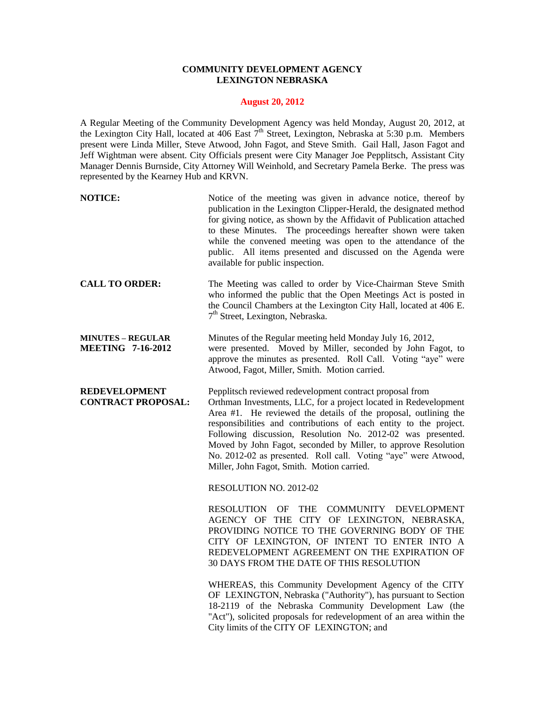## **COMMUNITY DEVELOPMENT AGENCY LEXINGTON NEBRASKA**

## **August 20, 2012**

A Regular Meeting of the Community Development Agency was held Monday, August 20, 2012, at the Lexington City Hall, located at 406 East  $\tilde{\tau}^{th}$  Street, Lexington, Nebraska at 5:30 p.m. Members present were Linda Miller, Steve Atwood, John Fagot, and Steve Smith. Gail Hall, Jason Fagot and Jeff Wightman were absent. City Officials present were City Manager Joe Pepplitsch, Assistant City Manager Dennis Burnside, City Attorney Will Weinhold, and Secretary Pamela Berke. The press was represented by the Kearney Hub and KRVN.

| <b>NOTICE:</b> | Notice of the meeting was given in advance notice, thereof by<br>publication in the Lexington Clipper-Herald, the designated method<br>for giving notice, as shown by the Affidavit of Publication attached<br>to these Minutes. The proceedings hereafter shown were taken<br>while the convened meeting was open to the attendance of the |
|----------------|---------------------------------------------------------------------------------------------------------------------------------------------------------------------------------------------------------------------------------------------------------------------------------------------------------------------------------------------|
|                | public. All items presented and discussed on the Agenda were<br>available for public inspection.                                                                                                                                                                                                                                            |

- **CALL TO ORDER:** The Meeting was called to order by Vice-Chairman Steve Smith who informed the public that the Open Meetings Act is posted in the Council Chambers at the Lexington City Hall, located at 406 E. 7<sup>th</sup> Street, Lexington, Nebraska.
- **MINUTES – REGULAR** Minutes of the Regular meeting held Monday July 16, 2012, **MEETING 7-16-2012** were presented. Moved by Miller, seconded by John Fagot, to approve the minutes as presented. Roll Call. Voting "aye" were Atwood, Fagot, Miller, Smith. Motion carried.

**REDEVELOPMENT** Pepplitsch reviewed redevelopment contract proposal from **CONTRACT PROPOSAL:** Orthman Investments, LLC, for a project located in Redevelopment Area #1. He reviewed the details of the proposal, outlining the responsibilities and contributions of each entity to the project. Following discussion, Resolution No. 2012-02 was presented. Moved by John Fagot, seconded by Miller, to approve Resolution No. 2012-02 as presented. Roll call. Voting "aye" were Atwood, Miller, John Fagot, Smith. Motion carried.

RESOLUTION NO. 2012-02

RESOLUTION OF THE COMMUNITY DEVELOPMENT AGENCY OF THE CITY OF LEXINGTON, NEBRASKA, PROVIDING NOTICE TO THE GOVERNING BODY OF THE CITY OF LEXINGTON, OF INTENT TO ENTER INTO A REDEVELOPMENT AGREEMENT ON THE EXPIRATION OF 30 DAYS FROM THE DATE OF THIS RESOLUTION

WHEREAS, this Community Development Agency of the CITY OF LEXINGTON, Nebraska ("Authority"), has pursuant to Section 18-2119 of the Nebraska Community Development Law (the "Act"), solicited proposals for redevelopment of an area within the City limits of the CITY OF LEXINGTON; and